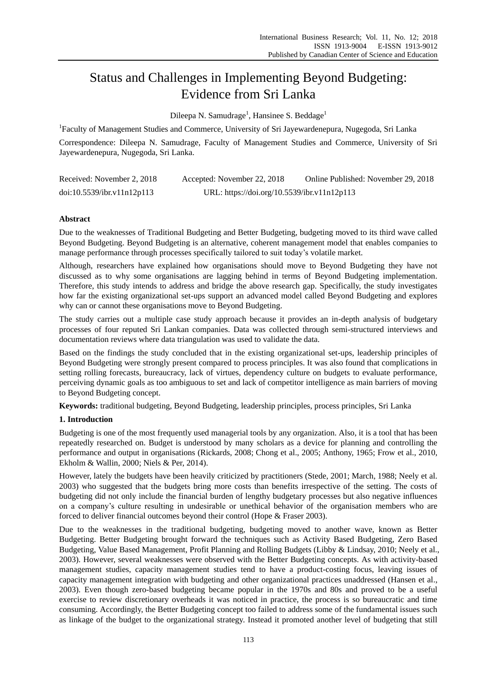# Status and Challenges in Implementing Beyond Budgeting: Evidence from Sri Lanka

Dileepa N. Samudrage<sup>1</sup>, Hansinee S. Beddage<sup>1</sup>

<sup>1</sup>Faculty of Management Studies and Commerce, University of Sri Jayewardenepura, Nugegoda, Sri Lanka

Correspondence: Dileepa N. Samudrage, Faculty of Management Studies and Commerce, University of Sri Jayewardenepura, Nugegoda, Sri Lanka.

| Received: November 2, 2018 | Accepted: November 22, 2018                 | Online Published: November 29, 2018 |
|----------------------------|---------------------------------------------|-------------------------------------|
| doi:10.5539/ibr.v11n12p113 | URL: https://doi.org/10.5539/ibr.v11n12p113 |                                     |

## **Abstract**

Due to the weaknesses of Traditional Budgeting and Better Budgeting, budgeting moved to its third wave called Beyond Budgeting. Beyond Budgeting is an alternative, coherent management model that enables companies to manage performance through processes specifically tailored to suit today"s volatile market.

Although, researchers have explained how organisations should move to Beyond Budgeting they have not discussed as to why some organisations are lagging behind in terms of Beyond Budgeting implementation. Therefore, this study intends to address and bridge the above research gap. Specifically, the study investigates how far the existing organizational set-ups support an advanced model called Beyond Budgeting and explores why can or cannot these organisations move to Beyond Budgeting.

The study carries out a multiple case study approach because it provides an in-depth analysis of budgetary processes of four reputed Sri Lankan companies. Data was collected through semi-structured interviews and documentation reviews where data triangulation was used to validate the data.

Based on the findings the study concluded that in the existing organizational set-ups, leadership principles of Beyond Budgeting were strongly present compared to process principles. It was also found that complications in setting rolling forecasts, bureaucracy, lack of virtues, dependency culture on budgets to evaluate performance, perceiving dynamic goals as too ambiguous to set and lack of competitor intelligence as main barriers of moving to Beyond Budgeting concept.

**Keywords:** traditional budgeting, Beyond Budgeting, leadership principles, process principles, Sri Lanka

## **1. Introduction**

Budgeting is one of the most frequently used managerial tools by any organization. Also, it is a tool that has been repeatedly researched on. Budget is understood by many scholars as a device for planning and controlling the performance and output in organisations (Rickards, 2008; Chong et al., 2005; Anthony, 1965; Frow et al., 2010, Ekholm & Wallin, 2000; Niels & Per, 2014).

However, lately the budgets have been heavily criticized by practitioners (Stede, 2001; March, 1988; Neely et al. 2003) who suggested that the budgets bring more costs than benefits irrespective of the setting. The costs of budgeting did not only include the financial burden of lengthy budgetary processes but also negative influences on a company"s culture resulting in undesirable or unethical behavior of the organisation members who are forced to deliver financial outcomes beyond their control (Hope & Fraser 2003).

Due to the weaknesses in the traditional budgeting, budgeting moved to another wave, known as Better Budgeting. Better Budgeting brought forward the techniques such as Activity Based Budgeting, Zero Based Budgeting, Value Based Management, Profit Planning and Rolling Budgets (Libby & Lindsay, 2010; Neely et al., 2003). However, several weaknesses were observed with the Better Budgeting concepts. As with activity-based management studies, capacity management studies tend to have a product-costing focus, leaving issues of capacity management integration with budgeting and other organizational practices unaddressed (Hansen et al., 2003). Even though zero-based budgeting became popular in the 1970s and 80s and proved to be a useful exercise to review discretionary overheads it was noticed in practice, the process is so bureaucratic and time consuming. Accordingly, the Better Budgeting concept too failed to address some of the fundamental issues such as linkage of the budget to the organizational strategy. Instead it promoted another level of budgeting that still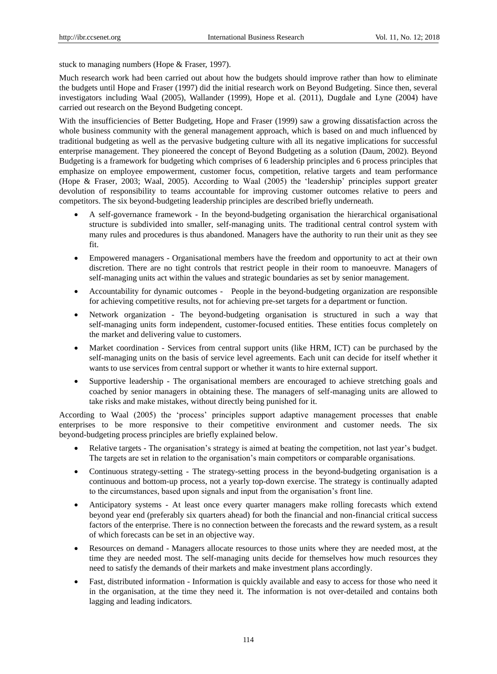stuck to managing numbers (Hope & Fraser, 1997).

Much research work had been carried out about how the budgets should improve rather than how to eliminate the budgets until Hope and Fraser (1997) did the initial research work on Beyond Budgeting. Since then, several investigators including Waal (2005), Wallander (1999), Hope et al. (2011), Dugdale and Lyne (2004) have carried out research on the Beyond Budgeting concept.

With the insufficiencies of Better Budgeting, Hope and Fraser (1999) saw a growing dissatisfaction across the whole business community with the general management approach, which is based on and much influenced by traditional budgeting as well as the pervasive budgeting culture with all its negative implications for successful enterprise management. They pioneered the concept of Beyond Budgeting as a solution (Daum, 2002). Beyond Budgeting is a framework for budgeting which comprises of 6 leadership principles and 6 process principles that emphasize on employee empowerment, customer focus, competition, relative targets and team performance (Hope & Fraser, 2003; Waal, 2005). According to Waal (2005) the "leadership" principles support greater devolution of responsibility to teams accountable for improving customer outcomes relative to peers and competitors. The six beyond-budgeting leadership principles are described briefly underneath.

- A self-governance framework In the beyond-budgeting organisation the hierarchical organisational structure is subdivided into smaller, self-managing units. The traditional central control system with many rules and procedures is thus abandoned. Managers have the authority to run their unit as they see fit.
- Empowered managers Organisational members have the freedom and opportunity to act at their own discretion. There are no tight controls that restrict people in their room to manoeuvre. Managers of self-managing units act within the values and strategic boundaries as set by senior management.
- Accountability for dynamic outcomes People in the beyond-budgeting organization are responsible for achieving competitive results, not for achieving pre-set targets for a department or function.
- Network organization The beyond-budgeting organisation is structured in such a way that self-managing units form independent, customer-focused entities. These entities focus completely on the market and delivering value to customers.
- Market coordination Services from central support units (like HRM, ICT) can be purchased by the self-managing units on the basis of service level agreements. Each unit can decide for itself whether it wants to use services from central support or whether it wants to hire external support.
- Supportive leadership The organisational members are encouraged to achieve stretching goals and coached by senior managers in obtaining these. The managers of self-managing units are allowed to take risks and make mistakes, without directly being punished for it.

According to Waal (2005) the "process" principles support adaptive management processes that enable enterprises to be more responsive to their competitive environment and customer needs. The six beyond-budgeting process principles are briefly explained below.

- Relative targets The organisation"s strategy is aimed at beating the competition, not last year"s budget. The targets are set in relation to the organisation"s main competitors or comparable organisations.
- Continuous strategy-setting The strategy-setting process in the beyond-budgeting organisation is a continuous and bottom-up process, not a yearly top-down exercise. The strategy is continually adapted to the circumstances, based upon signals and input from the organisation"s front line.
- Anticipatory systems At least once every quarter managers make rolling forecasts which extend beyond year end (preferably six quarters ahead) for both the financial and non-financial critical success factors of the enterprise. There is no connection between the forecasts and the reward system, as a result of which forecasts can be set in an objective way.
- Resources on demand Managers allocate resources to those units where they are needed most, at the time they are needed most. The self-managing units decide for themselves how much resources they need to satisfy the demands of their markets and make investment plans accordingly.
- Fast, distributed information Information is quickly available and easy to access for those who need it in the organisation, at the time they need it. The information is not over-detailed and contains both lagging and leading indicators.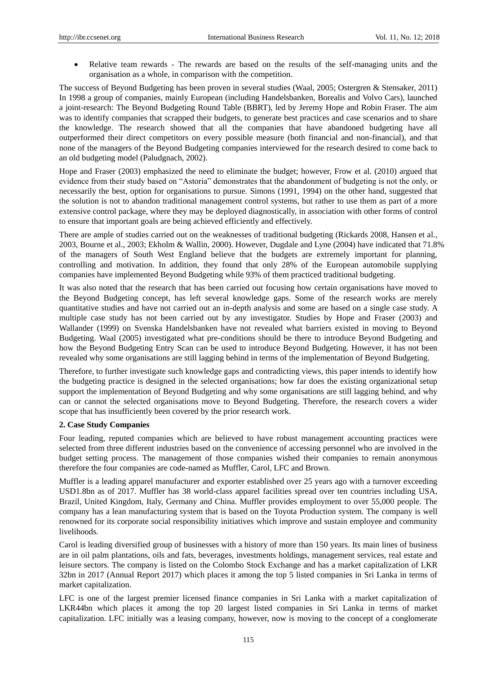Relative team rewards - The rewards are based on the results of the self-managing units and the organisation as a whole, in comparison with the competition.

The success of Beyond Budgeting has been proven in several studies (Waal, 2005; Ostergren & Stensaker, 2011) In 1998 a group of companies, mainly European (including Handelsbanken, Borealis and Volvo Cars), launched a joint-research: The Beyond Budgeting Round Table (BBRT), led by Jeremy Hope and Robin Fraser. The aim was to identify companies that scrapped their budgets, to generate best practices and case scenarios and to share the knowledge. The research showed that all the companies that have abandoned budgeting have all outperformed their direct competitors on every possible measure (both financial and non-financial), and that none of the managers of the Beyond Budgeting companies interviewed for the research desired to come back to an old budgeting model (Paludgnach, 2002).

Hope and Fraser (2003) emphasized the need to eliminate the budget; however, Frow et al. (2010) argued that evidence from their study based on "Astoria" demonstrates that the abandonment of budgeting is not the only, or necessarily the best, option for organisations to pursue. Simons (1991, 1994) on the other hand, suggested that the solution is not to abandon traditional management control systems, but rather to use them as part of a more extensive control package, where they may be deployed diagnostically, in association with other forms of control to ensure that important goals are being achieved efficiently and effectively.

There are ample of studies carried out on the weaknesses of traditional budgeting (Rickards 2008, Hansen et al., 2003, Bourne et al., 2003; Ekholm & Wallin, 2000). However, Dugdale and Lyne (2004) have indicated that 71.8% of the managers of South West England believe that the budgets are extremely important for planning, controlling and motivation. In addition, they found that only 28% of the European automobile supplying companies have implemented Beyond Budgeting while 93% of them practiced traditional budgeting.

It was also noted that the research that has been carried out focusing how certain organisations have moved to the Beyond Budgeting concept, has left several knowledge gaps. Some of the research works are merely quantitative studies and have not carried out an in-depth analysis and some are based on a single case study. A multiple case study has not been carried out by any investigator. Studies by Hope and Fraser (2003) and Wallander (1999) on Svenska Handelsbanken have not revealed what barriers existed in moving to Beyond Budgeting. Waal (2005) investigated what pre-conditions should be there to introduce Beyond Budgeting and how the Beyond Budgeting Entry Scan can be used to introduce Beyond Budgeting. However, it has not been revealed why some organisations are still lagging behind in terms of the implementation of Beyond Budgeting.

Therefore, to further investigate such knowledge gaps and contradicting views, this paper intends to identify how the budgeting practice is designed in the selected organisations; how far does the existing organizational setup support the implementation of Beyond Budgeting and why some organisations are still lagging behind, and why can or cannot the selected organisations move to Beyond Budgeting. Therefore, the research covers a wider scope that has insufficiently been covered by the prior research work.

## **2. Case Study Companies**

Four leading, reputed companies which are believed to have robust management accounting practices were selected from three different industries based on the convenience of accessing personnel who are involved in the budget setting process. The management of those companies wished their companies to remain anonymous therefore the four companies are code-named as Muffler, Carol, LFC and Brown.

Muffler is a leading apparel manufacturer and exporter established over 25 years ago with a turnover exceeding USD1.8bn as of 2017. Muffler has 38 world-class apparel facilities spread over ten countries including USA, Brazil, United Kingdom, Italy, Germany and China. Muffler provides employment to over 55,000 people. The company has a lean manufacturing system that is based on the Toyota Production system. The company is well renowned for its corporate social responsibility initiatives which improve and sustain employee and community livelihoods.

Carol is leading diversified group of businesses with a history of more than 150 years. Its main lines of business are in oil palm plantations, oils and fats, beverages, investments holdings, management services, real estate and leisure sectors. The company is listed on the Colombo Stock Exchange and has a market capitalization of LKR 32bn in 2017 (Annual Report 2017) which places it among the top 5 listed companies in Sri Lanka in terms of market capitalization.

LFC is one of the largest premier licensed finance companies in Sri Lanka with a market capitalization of LKR44bn which places it among the top 20 largest listed companies in Sri Lanka in terms of market capitalization. LFC initially was a leasing company, however, now is moving to the concept of a conglomerate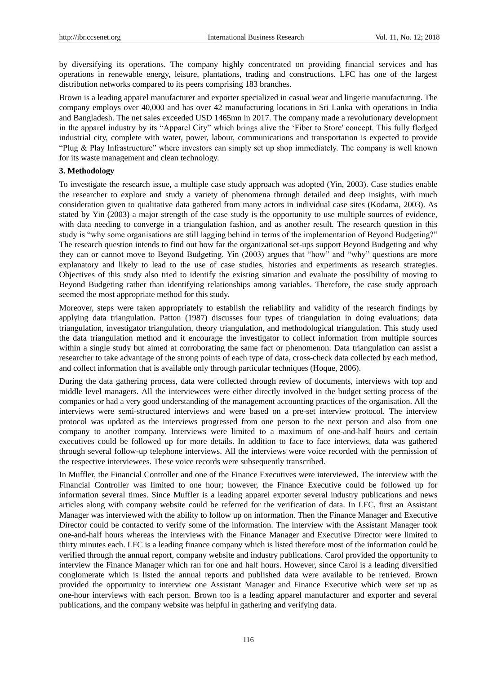by diversifying its operations. The company highly concentrated on providing financial services and has operations in renewable energy, leisure, plantations, trading and constructions. LFC has one of the largest distribution networks compared to its peers comprising 183 branches.

Brown is a leading apparel manufacturer and exporter specialized in casual wear and lingerie manufacturing. The company employs over 40,000 and has over 42 manufacturing locations in Sri Lanka with operations in India and Bangladesh. The net sales exceeded USD 1465mn in 2017. The company made a revolutionary development in the apparel industry by its "Apparel City" which brings alive the "Fiber to Store' concept. This fully fledged industrial city, complete with water, power, labour, communications and transportation is expected to provide "Plug & Play Infrastructure" where investors can simply set up shop immediately. The company is well known for its waste management and clean technology.

#### **3. Methodology**

To investigate the research issue, a multiple case study approach was adopted (Yin, 2003). Case studies enable the researcher to explore and study a variety of phenomena through detailed and deep insights, with much consideration given to qualitative data gathered from many actors in individual case sites (Kodama, 2003). As stated by Yin (2003) a major strength of the case study is the opportunity to use multiple sources of evidence, with data needing to converge in a triangulation fashion, and as another result. The research question in this study is "why some organisations are still lagging behind in terms of the implementation of Beyond Budgeting?" The research question intends to find out how far the organizational set-ups support Beyond Budgeting and why they can or cannot move to Beyond Budgeting. Yin (2003) argues that "how" and "why" questions are more explanatory and likely to lead to the use of case studies, histories and experiments as research strategies. Objectives of this study also tried to identify the existing situation and evaluate the possibility of moving to Beyond Budgeting rather than identifying relationships among variables. Therefore, the case study approach seemed the most appropriate method for this study.

Moreover, steps were taken appropriately to establish the reliability and validity of the research findings by applying data triangulation. Patton (1987) discusses four types of triangulation in doing evaluations; data triangulation, investigator triangulation, theory triangulation, and methodological triangulation. This study used the data triangulation method and it encourage the investigator to collect information from multiple sources within a single study but aimed at corroborating the same fact or phenomenon. Data triangulation can assist a researcher to take advantage of the strong points of each type of data, cross-check data collected by each method, and collect information that is available only through particular techniques (Hoque, 2006).

During the data gathering process, data were collected through review of documents, interviews with top and middle level managers. All the interviewees were either directly involved in the budget setting process of the companies or had a very good understanding of the management accounting practices of the organisation. All the interviews were semi-structured interviews and were based on a pre-set interview protocol. The interview protocol was updated as the interviews progressed from one person to the next person and also from one company to another company. Interviews were limited to a maximum of one-and-half hours and certain executives could be followed up for more details. In addition to face to face interviews, data was gathered through several follow-up telephone interviews. All the interviews were voice recorded with the permission of the respective interviewees. These voice records were subsequently transcribed.

In Muffler, the Financial Controller and one of the Finance Executives were interviewed. The interview with the Financial Controller was limited to one hour; however, the Finance Executive could be followed up for information several times. Since Muffler is a leading apparel exporter several industry publications and news articles along with company website could be referred for the verification of data. In LFC, first an Assistant Manager was interviewed with the ability to follow up on information. Then the Finance Manager and Executive Director could be contacted to verify some of the information. The interview with the Assistant Manager took one-and-half hours whereas the interviews with the Finance Manager and Executive Director were limited to thirty minutes each. LFC is a leading finance company which is listed therefore most of the information could be verified through the annual report, company website and industry publications. Carol provided the opportunity to interview the Finance Manager which ran for one and half hours. However, since Carol is a leading diversified conglomerate which is listed the annual reports and published data were available to be retrieved. Brown provided the opportunity to interview one Assistant Manager and Finance Executive which were set up as one-hour interviews with each person. Brown too is a leading apparel manufacturer and exporter and several publications, and the company website was helpful in gathering and verifying data.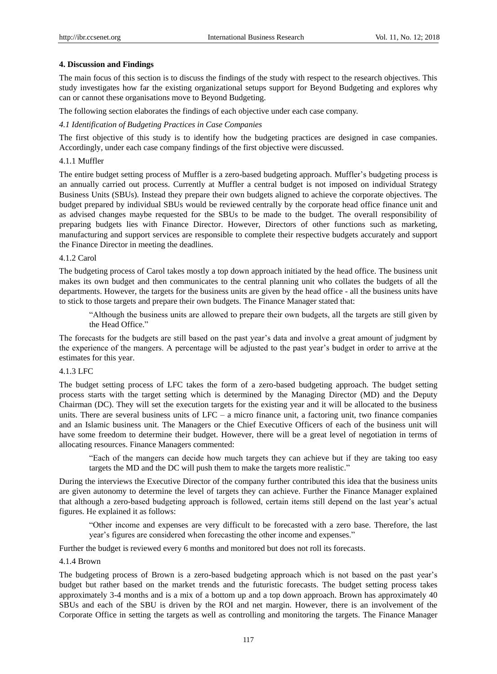#### **4. Discussion and Findings**

The main focus of this section is to discuss the findings of the study with respect to the research objectives. This study investigates how far the existing organizational setups support for Beyond Budgeting and explores why can or cannot these organisations move to Beyond Budgeting.

The following section elaborates the findings of each objective under each case company.

#### *4.1 Identification of Budgeting Practices in Case Companies*

The first objective of this study is to identify how the budgeting practices are designed in case companies. Accordingly, under each case company findings of the first objective were discussed.

## 4.1.1 Muffler

The entire budget setting process of Muffler is a zero-based budgeting approach. Muffler"s budgeting process is an annually carried out process. Currently at Muffler a central budget is not imposed on individual Strategy Business Units (SBUs). Instead they prepare their own budgets aligned to achieve the corporate objectives. The budget prepared by individual SBUs would be reviewed centrally by the corporate head office finance unit and as advised changes maybe requested for the SBUs to be made to the budget. The overall responsibility of preparing budgets lies with Finance Director. However, Directors of other functions such as marketing, manufacturing and support services are responsible to complete their respective budgets accurately and support the Finance Director in meeting the deadlines.

#### 4.1.2 Carol

The budgeting process of Carol takes mostly a top down approach initiated by the head office. The business unit makes its own budget and then communicates to the central planning unit who collates the budgets of all the departments. However, the targets for the business units are given by the head office - all the business units have to stick to those targets and prepare their own budgets. The Finance Manager stated that:

"Although the business units are allowed to prepare their own budgets, all the targets are still given by the Head Office."

The forecasts for the budgets are still based on the past year"s data and involve a great amount of judgment by the experience of the mangers. A percentage will be adjusted to the past year"s budget in order to arrive at the estimates for this year.

#### 4.1.3 LFC

The budget setting process of LFC takes the form of a zero-based budgeting approach. The budget setting process starts with the target setting which is determined by the Managing Director (MD) and the Deputy Chairman (DC). They will set the execution targets for the existing year and it will be allocated to the business units. There are several business units of  $LFC - a$  micro finance unit, a factoring unit, two finance companies and an Islamic business unit. The Managers or the Chief Executive Officers of each of the business unit will have some freedom to determine their budget. However, there will be a great level of negotiation in terms of allocating resources. Finance Managers commented:

"Each of the mangers can decide how much targets they can achieve but if they are taking too easy targets the MD and the DC will push them to make the targets more realistic."

During the interviews the Executive Director of the company further contributed this idea that the business units are given autonomy to determine the level of targets they can achieve. Further the Finance Manager explained that although a zero-based budgeting approach is followed, certain items still depend on the last year"s actual figures. He explained it as follows:

"Other income and expenses are very difficult to be forecasted with a zero base. Therefore, the last year's figures are considered when forecasting the other income and expenses."

Further the budget is reviewed every 6 months and monitored but does not roll its forecasts.

## 4.1.4 Brown

The budgeting process of Brown is a zero-based budgeting approach which is not based on the past year"s budget but rather based on the market trends and the futuristic forecasts. The budget setting process takes approximately 3-4 months and is a mix of a bottom up and a top down approach. Brown has approximately 40 SBUs and each of the SBU is driven by the ROI and net margin. However, there is an involvement of the Corporate Office in setting the targets as well as controlling and monitoring the targets. The Finance Manager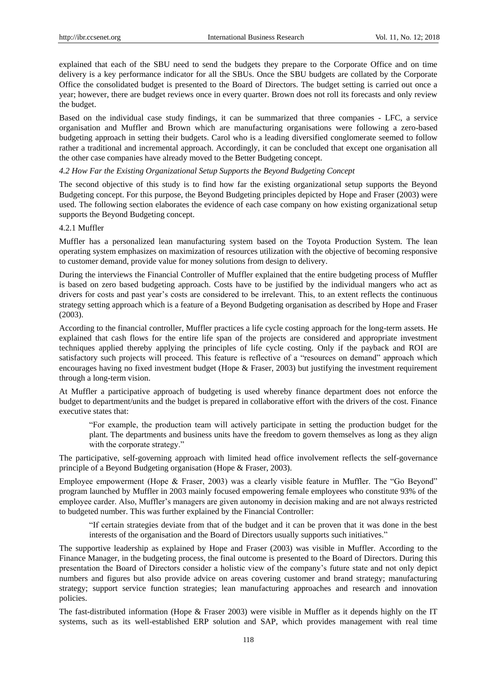explained that each of the SBU need to send the budgets they prepare to the Corporate Office and on time delivery is a key performance indicator for all the SBUs. Once the SBU budgets are collated by the Corporate Office the consolidated budget is presented to the Board of Directors. The budget setting is carried out once a year; however, there are budget reviews once in every quarter. Brown does not roll its forecasts and only review the budget.

Based on the individual case study findings, it can be summarized that three companies - LFC, a service organisation and Muffler and Brown which are manufacturing organisations were following a zero-based budgeting approach in setting their budgets. Carol who is a leading diversified conglomerate seemed to follow rather a traditional and incremental approach. Accordingly, it can be concluded that except one organisation all the other case companies have already moved to the Better Budgeting concept.

#### *4.2 How Far the Existing Organizational Setup Supports the Beyond Budgeting Concept*

The second objective of this study is to find how far the existing organizational setup supports the Beyond Budgeting concept. For this purpose, the Beyond Budgeting principles depicted by Hope and Fraser (2003) were used. The following section elaborates the evidence of each case company on how existing organizational setup supports the Beyond Budgeting concept.

#### 4.2.1 Muffler

Muffler has a personalized lean manufacturing system based on the Toyota Production System. The lean operating system emphasizes on maximization of resources utilization with the objective of becoming responsive to customer demand, provide value for money solutions from design to delivery.

During the interviews the Financial Controller of Muffler explained that the entire budgeting process of Muffler is based on zero based budgeting approach. Costs have to be justified by the individual mangers who act as drivers for costs and past year"s costs are considered to be irrelevant. This, to an extent reflects the continuous strategy setting approach which is a feature of a Beyond Budgeting organisation as described by Hope and Fraser (2003).

According to the financial controller, Muffler practices a life cycle costing approach for the long-term assets. He explained that cash flows for the entire life span of the projects are considered and appropriate investment techniques applied thereby applying the principles of life cycle costing. Only if the payback and ROI are satisfactory such projects will proceed. This feature is reflective of a "resources on demand" approach which encourages having no fixed investment budget (Hope & Fraser, 2003) but justifying the investment requirement through a long-term vision.

At Muffler a participative approach of budgeting is used whereby finance department does not enforce the budget to department/units and the budget is prepared in collaborative effort with the drivers of the cost. Finance executive states that:

"For example, the production team will actively participate in setting the production budget for the plant. The departments and business units have the freedom to govern themselves as long as they align with the corporate strategy."

The participative, self-governing approach with limited head office involvement reflects the self-governance principle of a Beyond Budgeting organisation (Hope & Fraser, 2003).

Employee empowerment (Hope & Fraser, 2003) was a clearly visible feature in Muffler. The "Go Beyond" program launched by Muffler in 2003 mainly focused empowering female employees who constitute 93% of the employee carder. Also, Muffler"s managers are given autonomy in decision making and are not always restricted to budgeted number. This was further explained by the Financial Controller:

"If certain strategies deviate from that of the budget and it can be proven that it was done in the best interests of the organisation and the Board of Directors usually supports such initiatives."

The supportive leadership as explained by Hope and Fraser (2003) was visible in Muffler. According to the Finance Manager, in the budgeting process, the final outcome is presented to the Board of Directors. During this presentation the Board of Directors consider a holistic view of the company"s future state and not only depict numbers and figures but also provide advice on areas covering customer and brand strategy; manufacturing strategy; support service function strategies; lean manufacturing approaches and research and innovation policies.

The fast-distributed information (Hope & Fraser 2003) were visible in Muffler as it depends highly on the IT systems, such as its well-established ERP solution and SAP, which provides management with real time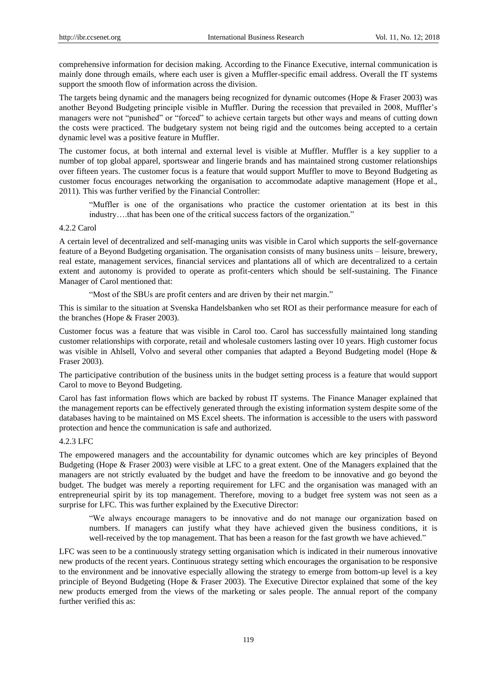comprehensive information for decision making. According to the Finance Executive, internal communication is mainly done through emails, where each user is given a Muffler-specific email address. Overall the IT systems support the smooth flow of information across the division.

The targets being dynamic and the managers being recognized for dynamic outcomes (Hope & Fraser 2003) was another Beyond Budgeting principle visible in Muffler. During the recession that prevailed in 2008, Muffler"s managers were not "punished" or "forced" to achieve certain targets but other ways and means of cutting down the costs were practiced. The budgetary system not being rigid and the outcomes being accepted to a certain dynamic level was a positive feature in Muffler.

The customer focus, at both internal and external level is visible at Muffler. Muffler is a key supplier to a number of top global apparel, sportswear and lingerie brands and has maintained strong customer relationships over fifteen years. The customer focus is a feature that would support Muffler to move to Beyond Budgeting as customer focus encourages networking the organisation to accommodate adaptive management (Hope et al., 2011). This was further verified by the Financial Controller:

"Muffler is one of the organisations who practice the customer orientation at its best in this industry….that has been one of the critical success factors of the organization."

## 4.2.2 Carol

A certain level of decentralized and self-managing units was visible in Carol which supports the self-governance feature of a Beyond Budgeting organisation. The organisation consists of many business units – leisure, brewery, real estate, management services, financial services and plantations all of which are decentralized to a certain extent and autonomy is provided to operate as profit-centers which should be self-sustaining. The Finance Manager of Carol mentioned that:

"Most of the SBUs are profit centers and are driven by their net margin."

This is similar to the situation at Svenska Handelsbanken who set ROI as their performance measure for each of the branches (Hope & Fraser 2003).

Customer focus was a feature that was visible in Carol too. Carol has successfully maintained long standing customer relationships with corporate, retail and wholesale customers lasting over 10 years. High customer focus was visible in Ahlsell, Volvo and several other companies that adapted a Beyond Budgeting model (Hope & Fraser 2003).

The participative contribution of the business units in the budget setting process is a feature that would support Carol to move to Beyond Budgeting.

Carol has fast information flows which are backed by robust IT systems. The Finance Manager explained that the management reports can be effectively generated through the existing information system despite some of the databases having to be maintained on MS Excel sheets. The information is accessible to the users with password protection and hence the communication is safe and authorized.

## 4.2.3 LFC

The empowered managers and the accountability for dynamic outcomes which are key principles of Beyond Budgeting (Hope & Fraser 2003) were visible at LFC to a great extent. One of the Managers explained that the managers are not strictly evaluated by the budget and have the freedom to be innovative and go beyond the budget. The budget was merely a reporting requirement for LFC and the organisation was managed with an entrepreneurial spirit by its top management. Therefore, moving to a budget free system was not seen as a surprise for LFC. This was further explained by the Executive Director:

"We always encourage managers to be innovative and do not manage our organization based on numbers. If managers can justify what they have achieved given the business conditions, it is well-received by the top management. That has been a reason for the fast growth we have achieved."

LFC was seen to be a continuously strategy setting organisation which is indicated in their numerous innovative new products of the recent years. Continuous strategy setting which encourages the organisation to be responsive to the environment and be innovative especially allowing the strategy to emerge from bottom-up level is a key principle of Beyond Budgeting (Hope & Fraser 2003). The Executive Director explained that some of the key new products emerged from the views of the marketing or sales people. The annual report of the company further verified this as: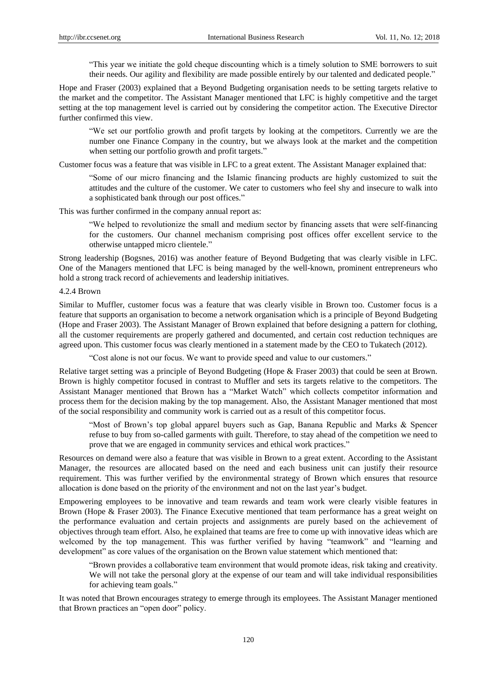"This year we initiate the gold cheque discounting which is a timely solution to SME borrowers to suit their needs. Our agility and flexibility are made possible entirely by our talented and dedicated people."

Hope and Fraser (2003) explained that a Beyond Budgeting organisation needs to be setting targets relative to the market and the competitor. The Assistant Manager mentioned that LFC is highly competitive and the target setting at the top management level is carried out by considering the competitor action. The Executive Director further confirmed this view.

"We set our portfolio growth and profit targets by looking at the competitors. Currently we are the number one Finance Company in the country, but we always look at the market and the competition when setting our portfolio growth and profit targets."

Customer focus was a feature that was visible in LFC to a great extent. The Assistant Manager explained that:

"Some of our micro financing and the Islamic financing products are highly customized to suit the attitudes and the culture of the customer. We cater to customers who feel shy and insecure to walk into a sophisticated bank through our post offices."

This was further confirmed in the company annual report as:

"We helped to revolutionize the small and medium sector by financing assets that were self-financing for the customers. Our channel mechanism comprising post offices offer excellent service to the otherwise untapped micro clientele."

Strong leadership (Bogsnes, 2016) was another feature of Beyond Budgeting that was clearly visible in LFC. One of the Managers mentioned that LFC is being managed by the well-known, prominent entrepreneurs who hold a strong track record of achievements and leadership initiatives.

4.2.4 Brown

Similar to Muffler, customer focus was a feature that was clearly visible in Brown too. Customer focus is a feature that supports an organisation to become a network organisation which is a principle of Beyond Budgeting (Hope and Fraser 2003). The Assistant Manager of Brown explained that before designing a pattern for clothing, all the customer requirements are properly gathered and documented, and certain cost reduction techniques are agreed upon. This customer focus was clearly mentioned in a statement made by the CEO to Tukatech (2012).

"Cost alone is not our focus. We want to provide speed and value to our customers."

Relative target setting was a principle of Beyond Budgeting (Hope & Fraser 2003) that could be seen at Brown. Brown is highly competitor focused in contrast to Muffler and sets its targets relative to the competitors. The Assistant Manager mentioned that Brown has a "Market Watch" which collects competitor information and process them for the decision making by the top management. Also, the Assistant Manager mentioned that most of the social responsibility and community work is carried out as a result of this competitor focus.

"Most of Brown"s top global apparel buyers such as Gap, Banana Republic and Marks & Spencer refuse to buy from so-called garments with guilt. Therefore, to stay ahead of the competition we need to prove that we are engaged in community services and ethical work practices."

Resources on demand were also a feature that was visible in Brown to a great extent. According to the Assistant Manager, the resources are allocated based on the need and each business unit can justify their resource requirement. This was further verified by the environmental strategy of Brown which ensures that resource allocation is done based on the priority of the environment and not on the last year"s budget.

Empowering employees to be innovative and team rewards and team work were clearly visible features in Brown (Hope & Fraser 2003). The Finance Executive mentioned that team performance has a great weight on the performance evaluation and certain projects and assignments are purely based on the achievement of objectives through team effort. Also, he explained that teams are free to come up with innovative ideas which are welcomed by the top management. This was further verified by having "teamwork" and "learning and development" as core values of the organisation on the Brown value statement which mentioned that:

"Brown provides a collaborative team environment that would promote ideas, risk taking and creativity. We will not take the personal glory at the expense of our team and will take individual responsibilities for achieving team goals."

It was noted that Brown encourages strategy to emerge through its employees. The Assistant Manager mentioned that Brown practices an "open door" policy.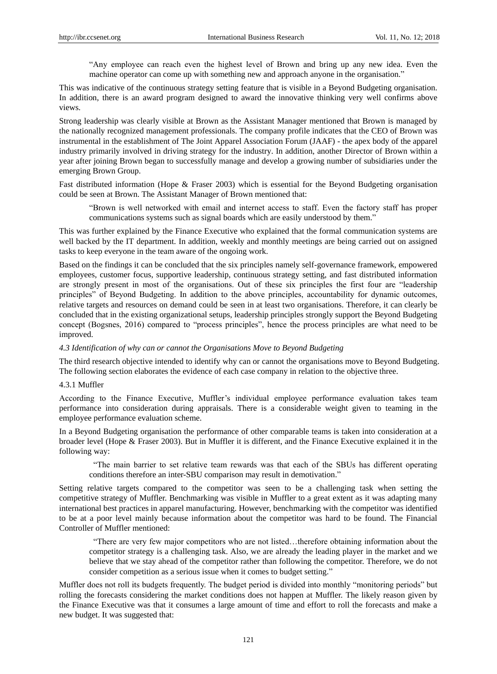"Any employee can reach even the highest level of Brown and bring up any new idea. Even the machine operator can come up with something new and approach anyone in the organisation."

This was indicative of the continuous strategy setting feature that is visible in a Beyond Budgeting organisation. In addition, there is an award program designed to award the innovative thinking very well confirms above views.

Strong leadership was clearly visible at Brown as the Assistant Manager mentioned that Brown is managed by the nationally recognized management professionals. The company profile indicates that the CEO of Brown was instrumental in the establishment of The Joint Apparel Association Forum (JAAF) - the apex body of the apparel industry primarily involved in driving strategy for the industry. In addition, another Director of Brown within a year after joining Brown began to successfully manage and develop a growing number of subsidiaries under the emerging Brown Group.

Fast distributed information (Hope & Fraser 2003) which is essential for the Beyond Budgeting organisation could be seen at Brown. The Assistant Manager of Brown mentioned that:

"Brown is well networked with email and internet access to staff. Even the factory staff has proper communications systems such as signal boards which are easily understood by them."

This was further explained by the Finance Executive who explained that the formal communication systems are well backed by the IT department. In addition, weekly and monthly meetings are being carried out on assigned tasks to keep everyone in the team aware of the ongoing work.

Based on the findings it can be concluded that the six principles namely self-governance framework, empowered employees, customer focus, supportive leadership, continuous strategy setting, and fast distributed information are strongly present in most of the organisations. Out of these six principles the first four are "leadership principles" of Beyond Budgeting. In addition to the above principles, accountability for dynamic outcomes, relative targets and resources on demand could be seen in at least two organisations. Therefore, it can clearly be concluded that in the existing organizational setups, leadership principles strongly support the Beyond Budgeting concept (Bogsnes, 2016) compared to "process principles", hence the process principles are what need to be improved.

#### *4.3 Identification of why can or cannot the Organisations Move to Beyond Budgeting*

The third research objective intended to identify why can or cannot the organisations move to Beyond Budgeting. The following section elaborates the evidence of each case company in relation to the objective three.

## 4.3.1 Muffler

According to the Finance Executive, Muffler"s individual employee performance evaluation takes team performance into consideration during appraisals. There is a considerable weight given to teaming in the employee performance evaluation scheme.

In a Beyond Budgeting organisation the performance of other comparable teams is taken into consideration at a broader level (Hope & Fraser 2003). But in Muffler it is different, and the Finance Executive explained it in the following way:

"The main barrier to set relative team rewards was that each of the SBUs has different operating conditions therefore an inter-SBU comparison may result in demotivation."

Setting relative targets compared to the competitor was seen to be a challenging task when setting the competitive strategy of Muffler. Benchmarking was visible in Muffler to a great extent as it was adapting many international best practices in apparel manufacturing. However, benchmarking with the competitor was identified to be at a poor level mainly because information about the competitor was hard to be found. The Financial Controller of Muffler mentioned:

"There are very few major competitors who are not listed…therefore obtaining information about the competitor strategy is a challenging task. Also, we are already the leading player in the market and we believe that we stay ahead of the competitor rather than following the competitor. Therefore, we do not consider competition as a serious issue when it comes to budget setting."

Muffler does not roll its budgets frequently. The budget period is divided into monthly "monitoring periods" but rolling the forecasts considering the market conditions does not happen at Muffler. The likely reason given by the Finance Executive was that it consumes a large amount of time and effort to roll the forecasts and make a new budget. It was suggested that: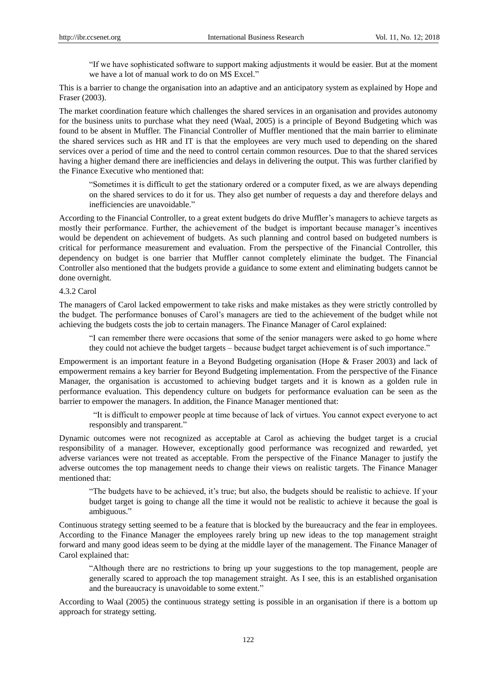"If we have sophisticated software to support making adjustments it would be easier. But at the moment we have a lot of manual work to do on MS Excel."

This is a barrier to change the organisation into an adaptive and an anticipatory system as explained by Hope and Fraser (2003).

The market coordination feature which challenges the shared services in an organisation and provides autonomy for the business units to purchase what they need (Waal, 2005) is a principle of Beyond Budgeting which was found to be absent in Muffler. The Financial Controller of Muffler mentioned that the main barrier to eliminate the shared services such as HR and IT is that the employees are very much used to depending on the shared services over a period of time and the need to control certain common resources. Due to that the shared services having a higher demand there are inefficiencies and delays in delivering the output. This was further clarified by the Finance Executive who mentioned that:

"Sometimes it is difficult to get the stationary ordered or a computer fixed, as we are always depending on the shared services to do it for us. They also get number of requests a day and therefore delays and inefficiencies are unavoidable."

According to the Financial Controller, to a great extent budgets do drive Muffler"s managers to achieve targets as mostly their performance. Further, the achievement of the budget is important because manager"s incentives would be dependent on achievement of budgets. As such planning and control based on budgeted numbers is critical for performance measurement and evaluation. From the perspective of the Financial Controller, this dependency on budget is one barrier that Muffler cannot completely eliminate the budget. The Financial Controller also mentioned that the budgets provide a guidance to some extent and eliminating budgets cannot be done overnight.

#### 4.3.2 Carol

The managers of Carol lacked empowerment to take risks and make mistakes as they were strictly controlled by the budget. The performance bonuses of Carol"s managers are tied to the achievement of the budget while not achieving the budgets costs the job to certain managers. The Finance Manager of Carol explained:

"I can remember there were occasions that some of the senior managers were asked to go home where they could not achieve the budget targets – because budget target achievement is of such importance."

Empowerment is an important feature in a Beyond Budgeting organisation (Hope & Fraser 2003) and lack of empowerment remains a key barrier for Beyond Budgeting implementation. From the perspective of the Finance Manager, the organisation is accustomed to achieving budget targets and it is known as a golden rule in performance evaluation. This dependency culture on budgets for performance evaluation can be seen as the barrier to empower the managers. In addition, the Finance Manager mentioned that:

"It is difficult to empower people at time because of lack of virtues. You cannot expect everyone to act responsibly and transparent."

Dynamic outcomes were not recognized as acceptable at Carol as achieving the budget target is a crucial responsibility of a manager. However, exceptionally good performance was recognized and rewarded, yet adverse variances were not treated as acceptable. From the perspective of the Finance Manager to justify the adverse outcomes the top management needs to change their views on realistic targets. The Finance Manager mentioned that:

"The budgets have to be achieved, it"s true; but also, the budgets should be realistic to achieve. If your budget target is going to change all the time it would not be realistic to achieve it because the goal is ambiguous."

Continuous strategy setting seemed to be a feature that is blocked by the bureaucracy and the fear in employees. According to the Finance Manager the employees rarely bring up new ideas to the top management straight forward and many good ideas seem to be dying at the middle layer of the management. The Finance Manager of Carol explained that:

"Although there are no restrictions to bring up your suggestions to the top management, people are generally scared to approach the top management straight. As I see, this is an established organisation and the bureaucracy is unavoidable to some extent."

According to Waal (2005) the continuous strategy setting is possible in an organisation if there is a bottom up approach for strategy setting.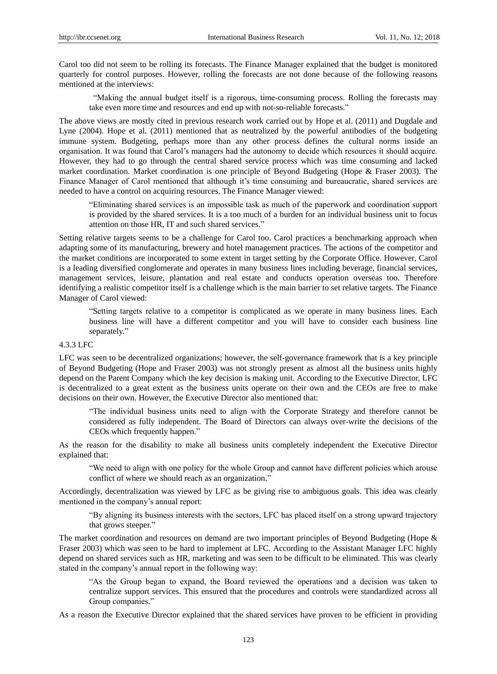Carol too did not seem to be rolling its forecasts. The Finance Manager explained that the budget is monitored quarterly for control purposes. However, rolling the forecasts are not done because of the following reasons mentioned at the interviews:

"Making the annual budget itself is a rigorous, time-consuming process. Rolling the forecasts may take even more time and resources and end up with not-so-reliable forecasts."

The above views are mostly cited in previous research work carried out by Hope et al. (2011) and Dugdale and Lyne (2004). Hope et al. (2011) mentioned that as neutralized by the powerful antibodies of the budgeting immune system. Budgeting, perhaps more than any other process defines the cultural norms inside an organisation. It was found that Carol"s managers had the autonomy to decide which resources it should acquire. However, they had to go through the central shared service process which was time consuming and lacked market coordination. Market coordination is one principle of Beyond Budgeting (Hope & Fraser 2003). The Finance Manager of Carol mentioned that although it's time consuming and bureaucratic, shared services are needed to have a control on acquiring resources. The Finance Manager viewed:

"Eliminating shared services is an impossible task as much of the paperwork and coordination support is provided by the shared services. It is a too much of a burden for an individual business unit to focus attention on those HR, IT and such shared services."

Setting relative targets seems to be a challenge for Carol too. Carol practices a benchmarking approach when adapting some of its manufacturing, brewery and hotel management practices. The actions of the competitor and the market conditions are incorporated to some extent in target setting by the Corporate Office. However, Carol is a leading diversified conglomerate and operates in many business lines including beverage, financial services, management services, leisure, plantation and real estate and conducts operation overseas too. Therefore identifying a realistic competitor itself is a challenge which is the main barrier to set relative targets. The Finance Manager of Carol viewed:

"Setting targets relative to a competitor is complicated as we operate in many business lines. Each business line will have a different competitor and you will have to consider each business line separately."

#### 4.3.3 LFC

LFC was seen to be decentralized organizations; however, the self-governance framework that is a key principle of Beyond Budgeting (Hope and Fraser 2003) was not strongly present as almost all the business units highly depend on the Parent Company which the key decision is making unit. According to the Executive Director, LFC is decentralized to a great extent as the business units operate on their own and the CEOs are free to make decisions on their own. However, the Executive Director also mentioned that:

"The individual business units need to align with the Corporate Strategy and therefore cannot be considered as fully independent. The Board of Directors can always over-write the decisions of the CEOs which frequently happen."

As the reason for the disability to make all business units completely independent the Executive Director explained that:

"We need to align with one policy for the whole Group and cannot have different policies which arouse conflict of where we should reach as an organization."

Accordingly, decentralization was viewed by LFC as be giving rise to ambiguous goals. This idea was clearly mentioned in the company's annual report:

"By aligning its business interests with the sectors, LFC has placed itself on a strong upward trajectory that grows steeper."

The market coordination and resources on demand are two important principles of Beyond Budgeting (Hope & Fraser 2003) which was seen to be hard to implement at LFC. According to the Assistant Manager LFC highly depend on shared services such as HR, marketing and was seen to be difficult to be eliminated. This was clearly stated in the company's annual report in the following way:

"As the Group began to expand, the Board reviewed the operations and a decision was taken to centralize support services. This ensured that the procedures and controls were standardized across all Group companies."

As a reason the Executive Director explained that the shared services have proven to be efficient in providing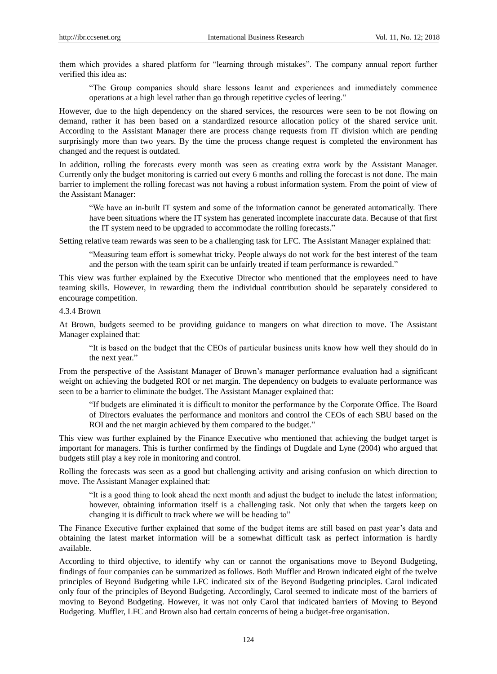them which provides a shared platform for "learning through mistakes". The company annual report further verified this idea as:

"The Group companies should share lessons learnt and experiences and immediately commence operations at a high level rather than go through repetitive cycles of leering."

However, due to the high dependency on the shared services, the resources were seen to be not flowing on demand, rather it has been based on a standardized resource allocation policy of the shared service unit. According to the Assistant Manager there are process change requests from IT division which are pending surprisingly more than two years. By the time the process change request is completed the environment has changed and the request is outdated.

In addition, rolling the forecasts every month was seen as creating extra work by the Assistant Manager. Currently only the budget monitoring is carried out every 6 months and rolling the forecast is not done. The main barrier to implement the rolling forecast was not having a robust information system. From the point of view of the Assistant Manager:

"We have an in-built IT system and some of the information cannot be generated automatically. There have been situations where the IT system has generated incomplete inaccurate data. Because of that first the IT system need to be upgraded to accommodate the rolling forecasts."

Setting relative team rewards was seen to be a challenging task for LFC. The Assistant Manager explained that:

"Measuring team effort is somewhat tricky. People always do not work for the best interest of the team and the person with the team spirit can be unfairly treated if team performance is rewarded."

This view was further explained by the Executive Director who mentioned that the employees need to have teaming skills. However, in rewarding them the individual contribution should be separately considered to encourage competition.

#### 4.3.4 Brown

At Brown, budgets seemed to be providing guidance to mangers on what direction to move. The Assistant Manager explained that:

"It is based on the budget that the CEOs of particular business units know how well they should do in the next year."

From the perspective of the Assistant Manager of Brown"s manager performance evaluation had a significant weight on achieving the budgeted ROI or net margin. The dependency on budgets to evaluate performance was seen to be a barrier to eliminate the budget. The Assistant Manager explained that:

"If budgets are eliminated it is difficult to monitor the performance by the Corporate Office. The Board of Directors evaluates the performance and monitors and control the CEOs of each SBU based on the ROI and the net margin achieved by them compared to the budget."

This view was further explained by the Finance Executive who mentioned that achieving the budget target is important for managers. This is further confirmed by the findings of Dugdale and Lyne (2004) who argued that budgets still play a key role in monitoring and control.

Rolling the forecasts was seen as a good but challenging activity and arising confusion on which direction to move. The Assistant Manager explained that:

"It is a good thing to look ahead the next month and adjust the budget to include the latest information; however, obtaining information itself is a challenging task. Not only that when the targets keep on changing it is difficult to track where we will be heading to"

The Finance Executive further explained that some of the budget items are still based on past year"s data and obtaining the latest market information will be a somewhat difficult task as perfect information is hardly available.

According to third objective, to identify why can or cannot the organisations move to Beyond Budgeting, findings of four companies can be summarized as follows. Both Muffler and Brown indicated eight of the twelve principles of Beyond Budgeting while LFC indicated six of the Beyond Budgeting principles. Carol indicated only four of the principles of Beyond Budgeting. Accordingly, Carol seemed to indicate most of the barriers of moving to Beyond Budgeting. However, it was not only Carol that indicated barriers of Moving to Beyond Budgeting. Muffler, LFC and Brown also had certain concerns of being a budget-free organisation.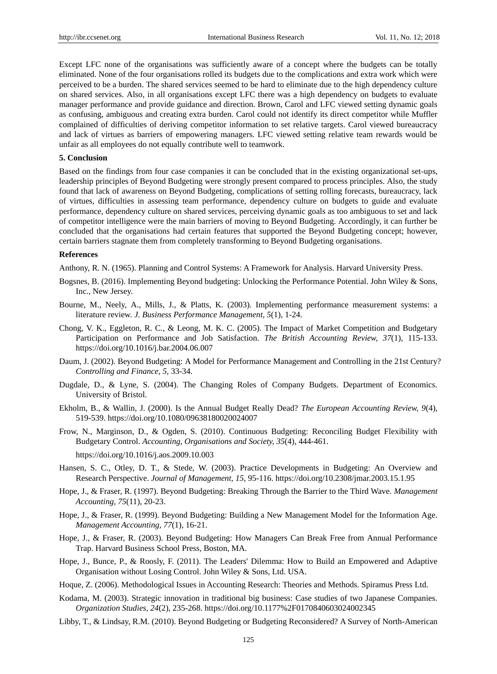Except LFC none of the organisations was sufficiently aware of a concept where the budgets can be totally eliminated. None of the four organisations rolled its budgets due to the complications and extra work which were perceived to be a burden. The shared services seemed to be hard to eliminate due to the high dependency culture on shared services. Also, in all organisations except LFC there was a high dependency on budgets to evaluate manager performance and provide guidance and direction. Brown, Carol and LFC viewed setting dynamic goals as confusing, ambiguous and creating extra burden. Carol could not identify its direct competitor while Muffler complained of difficulties of deriving competitor information to set relative targets. Carol viewed bureaucracy and lack of virtues as barriers of empowering managers. LFC viewed setting relative team rewards would be unfair as all employees do not equally contribute well to teamwork.

#### **5. Conclusion**

Based on the findings from four case companies it can be concluded that in the existing organizational set-ups, leadership principles of Beyond Budgeting were strongly present compared to process principles. Also, the study found that lack of awareness on Beyond Budgeting, complications of setting rolling forecasts, bureaucracy, lack of virtues, difficulties in assessing team performance, dependency culture on budgets to guide and evaluate performance, dependency culture on shared services, perceiving dynamic goals as too ambiguous to set and lack of competitor intelligence were the main barriers of moving to Beyond Budgeting. Accordingly, it can further be concluded that the organisations had certain features that supported the Beyond Budgeting concept; however, certain barriers stagnate them from completely transforming to Beyond Budgeting organisations.

#### **References**

Anthony, R. N. (1965). Planning and Control Systems: A Framework for Analysis. Harvard University Press.

- Bogsnes, B. (2016). Implementing Beyond budgeting: Unlocking the Performance Potential. John Wiley & Sons, Inc., New Jersey.
- Bourne, M., Neely, A., Mills, J., & Platts, K. (2003). Implementing performance measurement systems: a literature review. *J. Business Performance Management, 5*(1), 1-24.
- Chong, V. K., Eggleton, R. C., & Leong, M. K. C. (2005). The Impact of Market Competition and Budgetary Participation on Performance and Job Satisfaction. *The British Accounting Review, 37*(1), 115-133. <https://doi.org/10.1016/j.bar.2004.06.007>
- Daum, J. (2002). Beyond Budgeting: A Model for Performance Management and Controlling in the 21st Century? *Controlling and Finance, 5,* 33-34.
- Dugdale, D., & Lyne, S. (2004). The Changing Roles of Company Budgets. Department of Economics. University of Bristol.
- Ekholm, B., & Wallin, J. (2000). Is the Annual Budget Really Dead? *The European Accounting Review, 9*(4), 519-539.<https://doi.org/10.1080/09638180020024007>
- Frow, N., Marginson, D., & Ogden, S. (2010). Continuous Budgeting: Reconciling Budget Flexibility with Budgetary Control. *Accounting, Organisations and Society, 35*(4), 444-461.

<https://doi.org/10.1016/j.aos.2009.10.003>

- Hansen, S. C., Otley, D. T., & Stede, W. (2003). Practice Developments in Budgeting: An Overview and Research Perspective. *Journal of Management, 15,* 95-116.<https://doi.org/10.2308/jmar.2003.15.1.95>
- Hope, J., & Fraser, R. (1997). Beyond Budgeting: Breaking Through the Barrier to the Third Wave. *Management Accounting, 75*(11), 20-23.
- Hope, J., & Fraser, R. (1999). Beyond Budgeting: Building a New Management Model for the Information Age. *Management Accounting, 77*(1), 16-21.
- Hope, J., & Fraser, R. (2003). Beyond Budgeting: How Managers Can Break Free from Annual Performance Trap. Harvard Business School Press, Boston, MA.
- Hope, J., Bunce, P., & Roosly, F. (2011). The Leaders' Dilemma: How to Build an Empowered and Adaptive Organisation without Losing Control. John Wiley & Sons, Ltd. USA.
- Hoque, Z. (2006). Methodological Issues in Accounting Research: Theories and Methods. Spiramus Press Ltd.
- Kodama, M. (2003). Strategic innovation in traditional big business: Case studies of two Japanese Companies. *Organization Studies, 24*(2), 235-268.<https://doi.org/10.1177%2F0170840603024002345>
- Libby, T., & Lindsay, R.M. (2010). Beyond Budgeting or Budgeting Reconsidered? A Survey of North-American